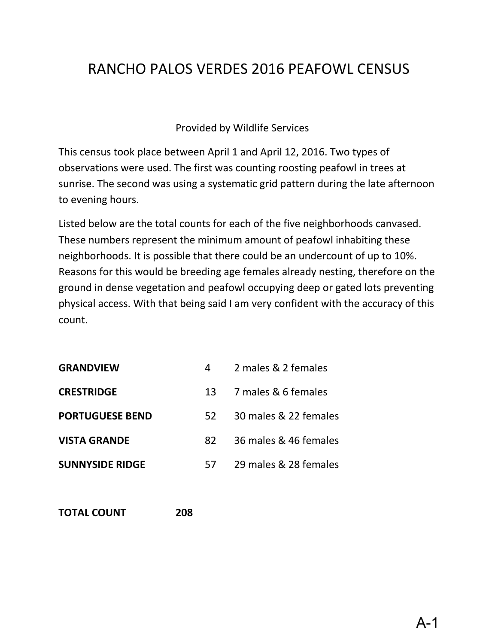# RANCHO PALOS VERDES 2016 PEAFOWL CENSUS

#### Provided by Wildlife Services

This census took place between April 1 and April 12, 2016. Two types of observations were used. The first was counting roosting peafowl in trees at sunrise. The second was using a systematic grid pattern during the late afternoon to evening hours.

Listed below are the total counts for each of the five neighborhoods canvased. These numbers represent the minimum amount of peafowl inhabiting these neighborhoods. It is possible that there could be an undercount of up to 10%. Reasons for this would be breeding age females already nesting, therefore on the ground in dense vegetation and peafowl occupying deep or gated lots preventing physical access. With that being said I am very confident with the accuracy of this count.

| <b>GRANDVIEW</b>       | 4   | 2 males & 2 females   |
|------------------------|-----|-----------------------|
| <b>CRESTRIDGE</b>      | 13  | 7 males & 6 females   |
| <b>PORTUGUESE BEND</b> | 52. | 30 males & 22 females |
| <b>VISTA GRANDE</b>    | 82. | 36 males & 46 females |
| <b>SUNNYSIDE RIDGE</b> | 57  | 29 males & 28 females |

**TOTAL COUNT 208**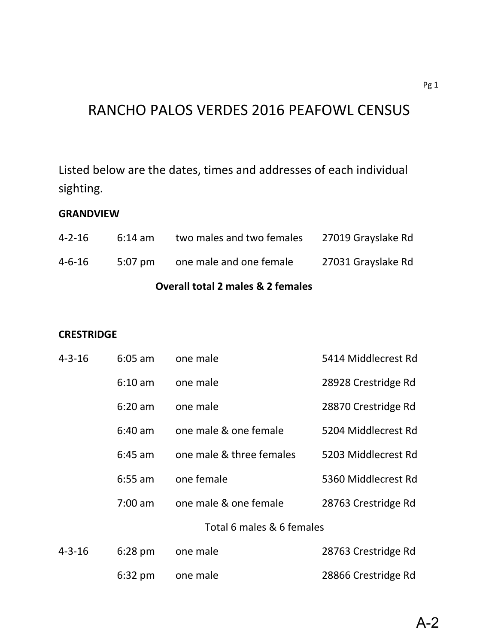## RANCHO PALOS VERDES 2016 PEAFOWL CENSUS

Listed below are the dates, times and addresses of each individual sighting.

#### **GRANDVIEW**

| <b>Overall total 2 males &amp; 2 females</b> |                   |                                 |                    |  |
|----------------------------------------------|-------------------|---------------------------------|--------------------|--|
| $4 - 6 - 16$                                 |                   | 5:07 pm one male and one female | 27031 Grayslake Rd |  |
| $4 - 2 - 16$                                 | $6:14 \text{ am}$ | two males and two females       | 27019 Grayslake Rd |  |

#### **CRESTRIDGE**

| $4 - 3 - 16$ | $6:05$ am         | one male                  | 5414 Middlecrest Rd |
|--------------|-------------------|---------------------------|---------------------|
|              | $6:10$ am         | one male                  | 28928 Crestridge Rd |
|              | $6:20$ am         | one male                  | 28870 Crestridge Rd |
|              | $6:40$ am         | one male & one female     | 5204 Middlecrest Rd |
|              | $6:45$ am         | one male & three females  | 5203 Middlecrest Rd |
|              | $6:55$ am         | one female                | 5360 Middlecrest Rd |
|              | $7:00$ am         | one male & one female     | 28763 Crestridge Rd |
|              |                   | Total 6 males & 6 females |                     |
| $4 - 3 - 16$ | $6:28$ pm         | one male                  | 28763 Crestridge Rd |
|              | $6:32 \text{ pm}$ | one male                  | 28866 Crestridge Rd |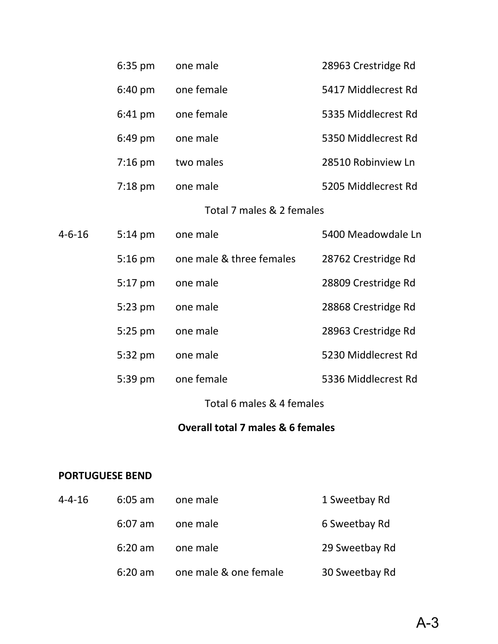|        | 6:35 pm           | one male                  | 28963 Crestridge Rd |
|--------|-------------------|---------------------------|---------------------|
|        | 6:40 pm           | one female                | 5417 Middlecrest Rd |
|        | 6:41 pm           | one female                | 5335 Middlecrest Rd |
|        | $6:49$ pm         | one male                  | 5350 Middlecrest Rd |
|        | $7:16$ pm         | two males                 | 28510 Robinview Ln  |
|        | $7:18 \text{ pm}$ | one male                  | 5205 Middlecrest Rd |
|        |                   | Total 7 males & 2 females |                     |
| 4-6-16 | $5:14 \text{ pm}$ | one male                  | 5400 Meadowdale Ln  |
|        | $5:16$ pm         | one male & three females  | 28762 Crestridge Rd |
|        | $5:17$ pm         | one male                  | 28809 Crestridge Rd |
|        | 5:23 pm           | one male                  | 28868 Crestridge Rd |
|        | 5:25 pm           | one male                  | 28963 Crestridge Rd |
|        | 5:32 pm           | one male                  | 5230 Middlecrest Rd |
|        | 5:39 pm           | one female                | 5336 Middlecrest Rd |
|        |                   | Total 6 males & 4 females |                     |

### **Overall total 7 males & 6 females**

#### **PORTUGUESE BEND**

| $4 - 4 - 16$ | $6:05$ am         | one male              | 1 Sweetbay Rd  |
|--------------|-------------------|-----------------------|----------------|
|              | $6:07$ am         | one male              | 6 Sweetbay Rd  |
|              | $6:20$ am         | one male              | 29 Sweetbay Rd |
|              | $6:20 \text{ am}$ | one male & one female | 30 Sweetbay Rd |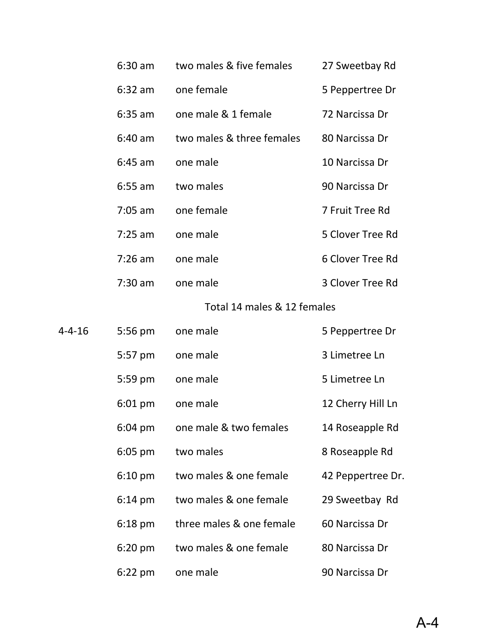|        | $6:30$ am         | two males & five females    | 27 Sweetbay Rd    |
|--------|-------------------|-----------------------------|-------------------|
|        | $6:32$ am         | one female                  | 5 Peppertree Dr   |
|        | $6:35$ am         | one male & 1 female         | 72 Narcissa Dr    |
|        | $6:40$ am         | two males & three females   | 80 Narcissa Dr    |
|        | $6:45$ am         | one male                    | 10 Narcissa Dr    |
|        | $6:55$ am         | two males                   | 90 Narcissa Dr    |
|        | $7:05$ am         | one female                  | 7 Fruit Tree Rd   |
|        | $7:25$ am         | one male                    | 5 Clover Tree Rd  |
|        | $7:26$ am         | one male                    | 6 Clover Tree Rd  |
|        | $7:30$ am         | one male                    | 3 Clover Tree Rd  |
|        |                   | Total 14 males & 12 females |                   |
| 4-4-16 | 5:56 pm           | one male                    | 5 Peppertree Dr   |
|        | 5:57 pm           | one male                    | 3 Limetree Ln     |
|        | 5:59 pm           | one male                    | 5 Limetree Ln     |
|        | $6:01$ pm         | one male                    | 12 Cherry Hill Ln |
|        | $6:04 \text{ pm}$ | one male & two females      | 14 Roseapple Rd   |
|        | $6:05$ pm         | two males                   | 8 Roseapple Rd    |
|        | $6:10 \text{ pm}$ | two males & one female      | 42 Peppertree Dr. |
|        | $6:14 \text{ pm}$ | two males & one female      | 29 Sweetbay Rd    |
|        | $6:18$ pm         | three males & one female    | 60 Narcissa Dr    |
|        | $6:20$ pm         | two males & one female      | 80 Narcissa Dr    |
|        | $6:22$ pm         | one male                    | 90 Narcissa Dr    |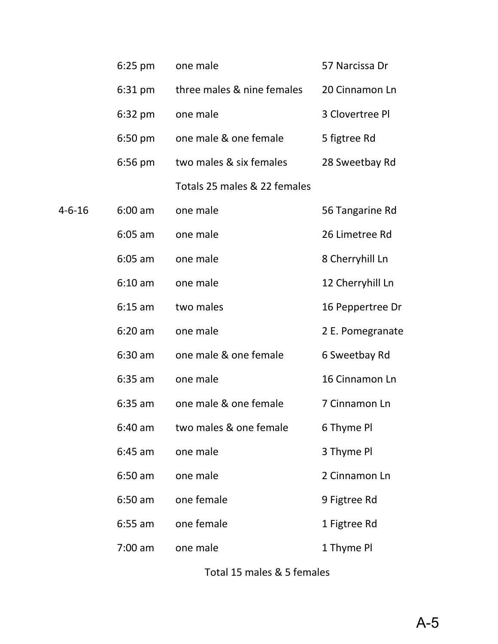|        | $6:25$ pm | one male                     | 57 Narcissa Dr   |
|--------|-----------|------------------------------|------------------|
|        | $6:31$ pm | three males & nine females   | 20 Cinnamon Ln   |
|        | 6:32 pm   | one male                     | 3 Clovertree Pl  |
|        | $6:50$ pm | one male & one female        | 5 figtree Rd     |
|        | $6:56$ pm | two males & six females      | 28 Sweetbay Rd   |
|        |           | Totals 25 males & 22 females |                  |
| 4-6-16 | $6:00$ am | one male                     | 56 Tangarine Rd  |
|        | $6:05$ am | one male                     | 26 Limetree Rd   |
|        | $6:05$ am | one male                     | 8 Cherryhill Ln  |
|        | $6:10$ am | one male                     | 12 Cherryhill Ln |
|        | $6:15$ am | two males                    | 16 Peppertree Dr |
|        | $6:20$ am | one male                     | 2 E. Pomegranate |
|        | $6:30$ am | one male & one female        | 6 Sweetbay Rd    |
|        | $6:35$ am | one male                     | 16 Cinnamon Ln   |
|        | $6:35$ am | one male & one female        | 7 Cinnamon Ln    |
|        | $6:40$ am | two males & one female       | 6 Thyme Pl       |
|        | $6:45$ am | one male                     | 3 Thyme Pl       |
|        | $6:50$ am | one male                     | 2 Cinnamon Ln    |
|        | $6:50$ am | one female                   | 9 Figtree Rd     |
|        | $6:55$ am | one female                   | 1 Figtree Rd     |
|        | $7:00$ am | one male                     | 1 Thyme Pl       |

Total 15 males & 5 females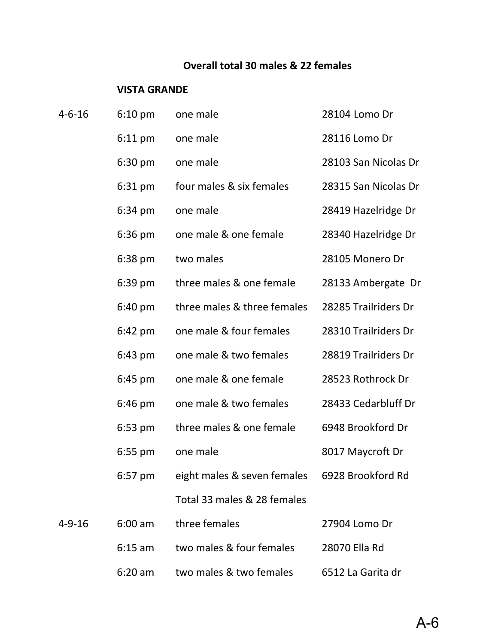## **Overall total 30 males & 22 females**

#### **VISTA GRANDE**

| $4 - 6 - 16$ | $6:10 \text{ pm}$ | one male                    | 28104 Lomo Dr        |
|--------------|-------------------|-----------------------------|----------------------|
|              | $6:11$ pm         | one male                    | 28116 Lomo Dr        |
|              | $6:30$ pm         | one male                    | 28103 San Nicolas Dr |
|              | 6:31 pm           | four males & six females    | 28315 San Nicolas Dr |
|              | 6:34 pm           | one male                    | 28419 Hazelridge Dr  |
|              | 6:36 pm           | one male & one female       | 28340 Hazelridge Dr  |
|              | $6:38$ pm         | two males                   | 28105 Monero Dr      |
|              | $6:39$ pm         | three males & one female    | 28133 Ambergate Dr   |
|              | $6:40 \text{ pm}$ | three males & three females | 28285 Trailriders Dr |
|              | $6:42 \text{ pm}$ | one male & four females     | 28310 Trailriders Dr |
|              | $6:43$ pm         | one male & two females      | 28819 Trailriders Dr |
|              | $6:45$ pm         | one male & one female       | 28523 Rothrock Dr    |
|              | $6:46 \text{ pm}$ | one male & two females      | 28433 Cedarbluff Dr  |
|              | $6:53$ pm         | three males & one female    | 6948 Brookford Dr    |
|              | $6:55$ pm         | one male                    | 8017 Maycroft Dr     |
|              | $6:57$ pm         | eight males & seven females | 6928 Brookford Rd    |
|              |                   | Total 33 males & 28 females |                      |
| $4 - 9 - 16$ | $6:00$ am         | three females               | 27904 Lomo Dr        |
|              | $6:15$ am         | two males & four females    | 28070 Ella Rd        |
|              | $6:20$ am         | two males & two females     | 6512 La Garita dr    |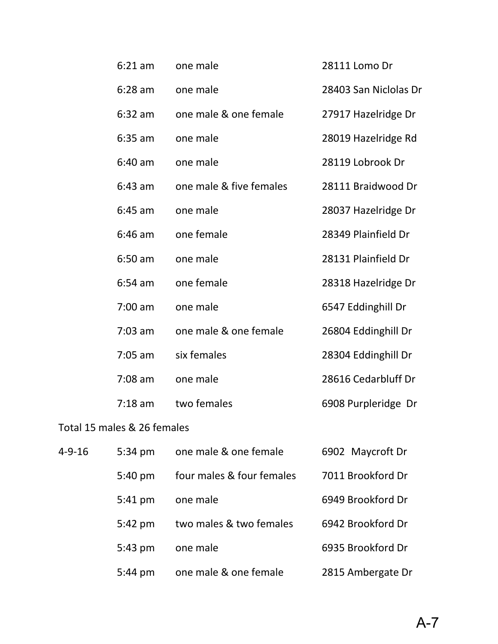| $6:21$ am | one male                | 28111 Lomo Dr         |
|-----------|-------------------------|-----------------------|
| $6:28$ am | one male                | 28403 San Niclolas Dr |
| $6:32$ am | one male & one female   | 27917 Hazelridge Dr   |
| $6:35$ am | one male                | 28019 Hazelridge Rd   |
| $6:40$ am | one male                | 28119 Lobrook Dr      |
| $6:43$ am | one male & five females | 28111 Braidwood Dr    |
| $6:45$ am | one male                | 28037 Hazelridge Dr   |
| $6:46$ am | one female              | 28349 Plainfield Dr   |
| $6:50$ am | one male                | 28131 Plainfield Dr   |
| $6:54$ am | one female              | 28318 Hazelridge Dr   |
| $7:00$ am | one male                | 6547 Eddinghill Dr    |
| $7:03$ am | one male & one female   | 26804 Eddinghill Dr   |
| $7:05$ am | six females             | 28304 Eddinghill Dr   |
| $7:08$ am | one male                | 28616 Cedarbluff Dr   |
| $7:18$ am | two females             | 6908 Purpleridge Dr   |
|           |                         |                       |

## Total 15 males & 26 females

| $4 - 9 - 16$ | $5:34 \text{ pm}$ | one male & one female     | 6902 Maycroft Dr  |
|--------------|-------------------|---------------------------|-------------------|
|              | $5:40 \text{ pm}$ | four males & four females | 7011 Brookford Dr |
|              | 5:41 pm           | one male                  | 6949 Brookford Dr |
|              | $5:42$ pm         | two males & two females   | 6942 Brookford Dr |
|              | $5:43$ pm         | one male                  | 6935 Brookford Dr |
|              | $5:44$ pm         | one male & one female     | 2815 Ambergate Dr |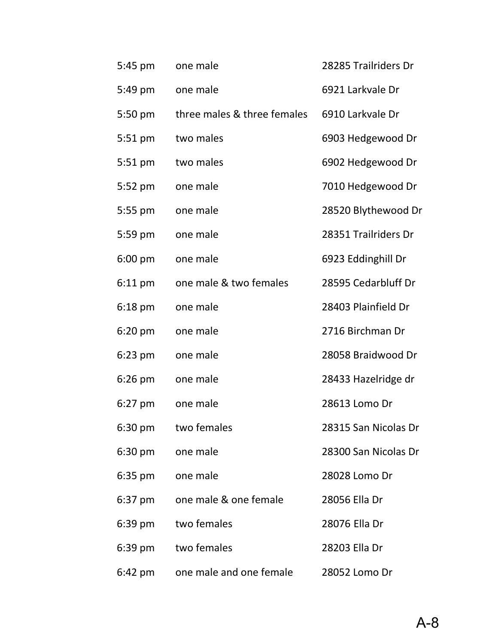| 5:45 pm   | one male                    | 28285 Trailriders Dr |
|-----------|-----------------------------|----------------------|
| 5:49 pm   | one male                    | 6921 Larkvale Dr     |
| 5:50 pm   | three males & three females | 6910 Larkvale Dr     |
| 5:51 pm   | two males                   | 6903 Hedgewood Dr    |
| 5:51 pm   | two males                   | 6902 Hedgewood Dr    |
| 5:52 pm   | one male                    | 7010 Hedgewood Dr    |
| 5:55 pm   | one male                    | 28520 Blythewood Dr  |
| 5:59 pm   | one male                    | 28351 Trailriders Dr |
| $6:00$ pm | one male                    | 6923 Eddinghill Dr   |
| $6:11$ pm | one male & two females      | 28595 Cedarbluff Dr  |
| $6:18$ pm | one male                    | 28403 Plainfield Dr  |
| 6:20 pm   | one male                    | 2716 Birchman Dr     |
| $6:23$ pm | one male                    | 28058 Braidwood Dr   |
| $6:26$ pm | one male                    | 28433 Hazelridge dr  |
| $6:27$ pm | one male                    | 28613 Lomo Dr        |
| $6:30$ pm | two females                 | 28315 San Nicolas Dr |
| $6:30$ pm | one male                    | 28300 San Nicolas Dr |
| $6:35$ pm | one male                    | 28028 Lomo Dr        |
| 6:37 pm   | one male & one female       | 28056 Ella Dr        |
| 6:39 pm   | two females                 | 28076 Ella Dr        |
| 6:39 pm   | two females                 | 28203 Ella Dr        |
| 6:42 pm   | one male and one female     | 28052 Lomo Dr        |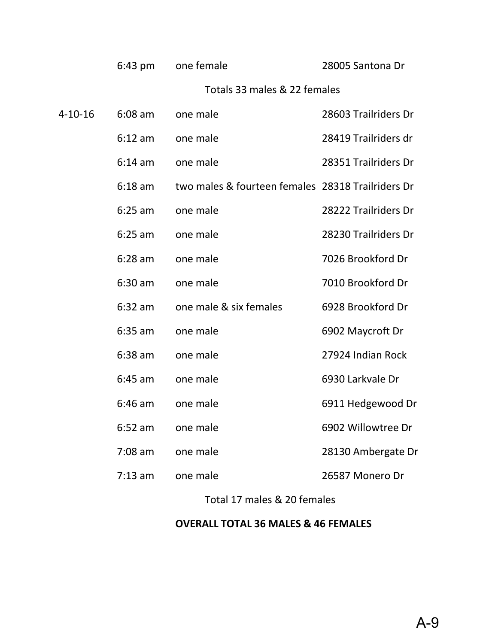|         | $6:43$ pm | one female                                        | 28005 Santona Dr     |
|---------|-----------|---------------------------------------------------|----------------------|
|         |           | Totals 33 males & 22 females                      |                      |
| 4-10-16 | $6:08$ am | one male                                          | 28603 Trailriders Dr |
|         | $6:12$ am | one male                                          | 28419 Trailriders dr |
|         | $6:14$ am | one male                                          | 28351 Trailriders Dr |
|         | $6:18$ am | two males & fourteen females 28318 Trailriders Dr |                      |
|         | $6:25$ am | one male                                          | 28222 Trailriders Dr |
|         | $6:25$ am | one male                                          | 28230 Trailriders Dr |
|         | $6:28$ am | one male                                          | 7026 Brookford Dr    |
|         | $6:30$ am | one male                                          | 7010 Brookford Dr    |
|         | $6:32$ am | one male & six females                            | 6928 Brookford Dr    |
|         | $6:35$ am | one male                                          | 6902 Maycroft Dr     |
|         | $6:38$ am | one male                                          | 27924 Indian Rock    |
|         | $6:45$ am | one male                                          | 6930 Larkvale Dr     |
|         | $6:46$ am | one male                                          | 6911 Hedgewood Dr    |
|         | 6:52 am   | one male                                          | 6902 Willowtree Dr   |
|         | $7:08$ am | one male                                          | 28130 Ambergate Dr   |
|         | $7:13$ am | one male                                          | 26587 Monero Dr      |

Total 17 males & 20 females

### **OVERALL TOTAL 36 MALES & 46 FEMALES**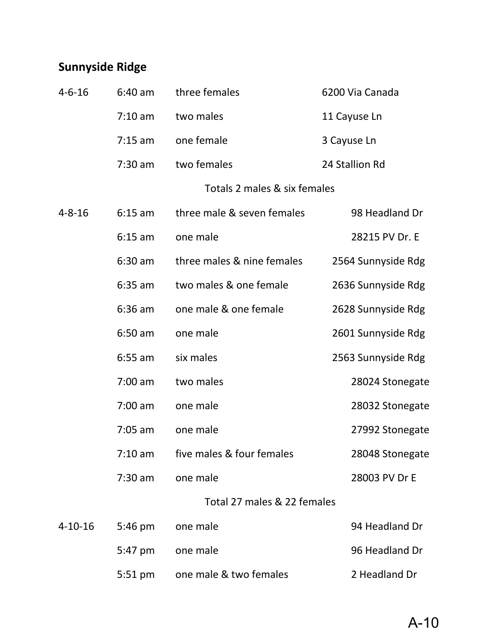# **Sunnyside Ridge**

| $4 - 6 - 16$  | $6:40$ am | three females                | 6200 Via Canada    |
|---------------|-----------|------------------------------|--------------------|
|               | $7:10$ am | two males                    | 11 Cayuse Ln       |
|               | $7:15$ am | one female                   | 3 Cayuse Ln        |
|               | $7:30$ am | two females                  | 24 Stallion Rd     |
|               |           | Totals 2 males & six females |                    |
| $4 - 8 - 16$  | $6:15$ am | three male & seven females   | 98 Headland Dr     |
|               | $6:15$ am | one male                     | 28215 PV Dr. E     |
|               | $6:30$ am | three males & nine females   | 2564 Sunnyside Rdg |
|               | $6:35$ am | two males & one female       | 2636 Sunnyside Rdg |
|               | $6:36$ am | one male & one female        | 2628 Sunnyside Rdg |
|               | $6:50$ am | one male                     | 2601 Sunnyside Rdg |
|               | $6:55$ am | six males                    | 2563 Sunnyside Rdg |
|               | $7:00$ am | two males                    | 28024 Stonegate    |
|               | $7:00$ am | one male                     | 28032 Stonegate    |
|               | $7:05$ am | one male                     | 27992 Stonegate    |
|               | $7:10$ am | five males & four females    | 28048 Stonegate    |
|               | $7:30$ am | one male                     | 28003 PV Dr E      |
|               |           | Total 27 males & 22 females  |                    |
| $4 - 10 - 16$ | 5:46 pm   | one male                     | 94 Headland Dr     |
|               | 5:47 pm   | one male                     | 96 Headland Dr     |
|               | 5:51 pm   | one male & two females       | 2 Headland Dr      |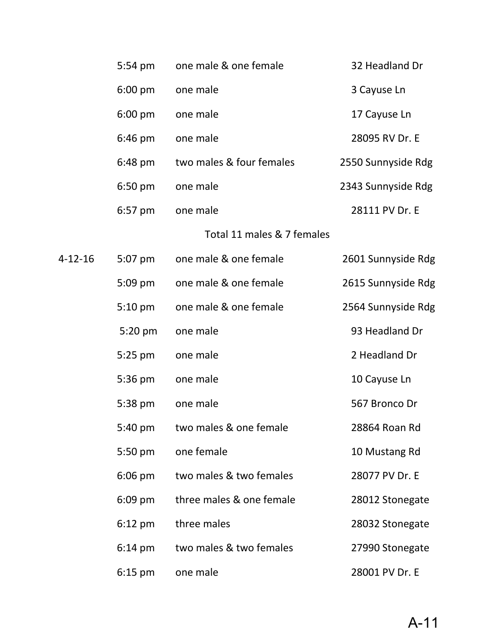|               | 5:54 pm           | one male & one female      | 32 Headland Dr     |
|---------------|-------------------|----------------------------|--------------------|
|               | $6:00$ pm         | one male                   | 3 Cayuse Ln        |
|               | $6:00$ pm         | one male                   | 17 Cayuse Ln       |
|               | $6:46$ pm         | one male                   | 28095 RV Dr. E     |
|               | 6:48 pm           | two males & four females   | 2550 Sunnyside Rdg |
|               | $6:50$ pm         | one male                   | 2343 Sunnyside Rdg |
|               | 6:57 pm           | one male                   | 28111 PV Dr. E     |
|               |                   | Total 11 males & 7 females |                    |
| $4 - 12 - 16$ | 5:07 pm           | one male & one female      | 2601 Sunnyside Rdg |
|               | $5:09$ pm         | one male & one female      | 2615 Sunnyside Rdg |
|               | $5:10$ pm         | one male & one female      | 2564 Sunnyside Rdg |
|               | 5:20 pm           | one male                   | 93 Headland Dr     |
|               | $5:25$ pm         | one male                   | 2 Headland Dr      |
|               | 5:36 pm           | one male                   | 10 Cayuse Ln       |
|               | 5:38 pm           | one male                   | 567 Bronco Dr      |
|               | 5:40 pm           | two males & one female     | 28864 Roan Rd      |
|               | 5:50 pm           | one female                 | 10 Mustang Rd      |
|               | $6:06$ pm         | two males & two females    | 28077 PV Dr. E     |
|               | $6:09$ pm         | three males & one female   | 28012 Stonegate    |
|               | $6:12$ pm         | three males                | 28032 Stonegate    |
|               | $6:14 \text{ pm}$ | two males & two females    | 27990 Stonegate    |
|               | $6:15$ pm         | one male                   | 28001 PV Dr. E     |